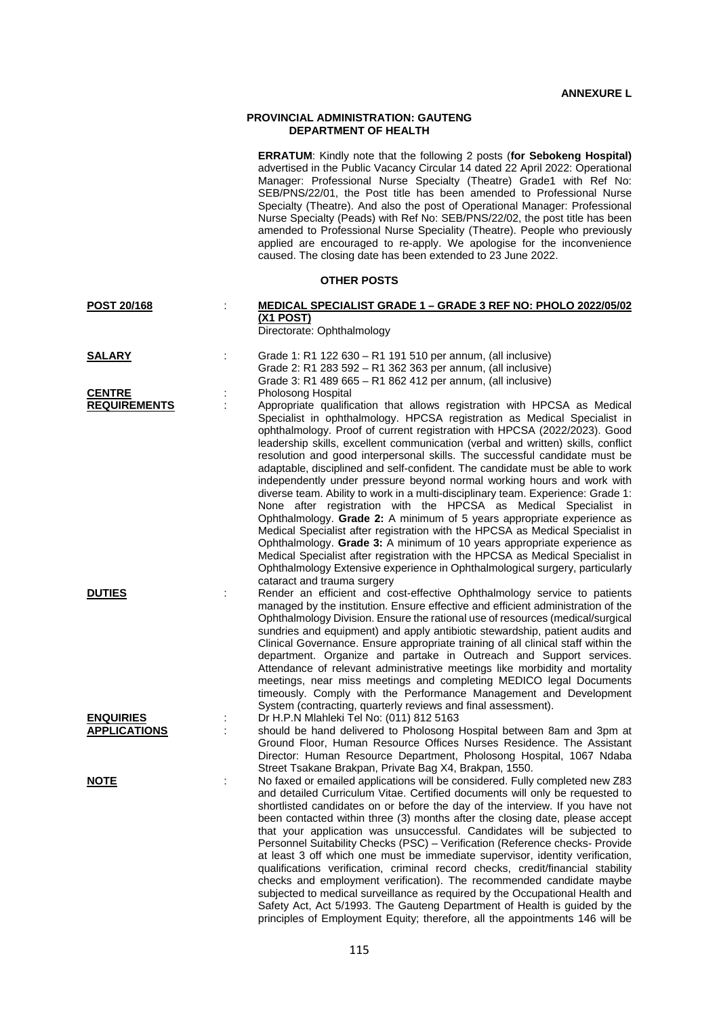## **PROVINCIAL ADMINISTRATION: GAUTENG DEPARTMENT OF HEALTH**

|                                         | ERRATUM: Kindly note that the following 2 posts (for Sebokeng Hospital)<br>advertised in the Public Vacancy Circular 14 dated 22 April 2022: Operational<br>Manager: Professional Nurse Specialty (Theatre) Grade1 with Ref No:<br>SEB/PNS/22/01, the Post title has been amended to Professional Nurse<br>Specialty (Theatre). And also the post of Operational Manager: Professional<br>Nurse Specialty (Peads) with Ref No: SEB/PNS/22/02, the post title has been<br>amended to Professional Nurse Speciality (Theatre). People who previously<br>applied are encouraged to re-apply. We apologise for the inconvenience<br>caused. The closing date has been extended to 23 June 2022.                                                                                                                                                                                                                                                                                                                                                                                                                                                                                       |
|-----------------------------------------|-----------------------------------------------------------------------------------------------------------------------------------------------------------------------------------------------------------------------------------------------------------------------------------------------------------------------------------------------------------------------------------------------------------------------------------------------------------------------------------------------------------------------------------------------------------------------------------------------------------------------------------------------------------------------------------------------------------------------------------------------------------------------------------------------------------------------------------------------------------------------------------------------------------------------------------------------------------------------------------------------------------------------------------------------------------------------------------------------------------------------------------------------------------------------------------|
|                                         | <b>OTHER POSTS</b>                                                                                                                                                                                                                                                                                                                                                                                                                                                                                                                                                                                                                                                                                                                                                                                                                                                                                                                                                                                                                                                                                                                                                                |
| POST 20/168                             | MEDICAL SPECIALIST GRADE 1 - GRADE 3 REF NO: PHOLO 2022/05/02<br><u>(X1 POST)</u><br>Directorate: Ophthalmology                                                                                                                                                                                                                                                                                                                                                                                                                                                                                                                                                                                                                                                                                                                                                                                                                                                                                                                                                                                                                                                                   |
| <b>SALARY</b>                           | Grade 1: R1 122 630 - R1 191 510 per annum, (all inclusive)<br>Grade 2: R1 283 592 - R1 362 363 per annum, (all inclusive)<br>Grade 3: R1 489 665 - R1 862 412 per annum, (all inclusive)                                                                                                                                                                                                                                                                                                                                                                                                                                                                                                                                                                                                                                                                                                                                                                                                                                                                                                                                                                                         |
| <b>CENTRE</b><br><b>REQUIREMENTS</b>    | Pholosong Hospital<br>Appropriate qualification that allows registration with HPCSA as Medical<br>Specialist in ophthalmology. HPCSA registration as Medical Specialist in<br>ophthalmology. Proof of current registration with HPCSA (2022/2023). Good<br>leadership skills, excellent communication (verbal and written) skills, conflict<br>resolution and good interpersonal skills. The successful candidate must be<br>adaptable, disciplined and self-confident. The candidate must be able to work<br>independently under pressure beyond normal working hours and work with<br>diverse team. Ability to work in a multi-disciplinary team. Experience: Grade 1:<br>None after registration with the HPCSA as Medical Specialist in<br>Ophthalmology. Grade 2: A minimum of 5 years appropriate experience as<br>Medical Specialist after registration with the HPCSA as Medical Specialist in<br>Ophthalmology. Grade 3: A minimum of 10 years appropriate experience as<br>Medical Specialist after registration with the HPCSA as Medical Specialist in<br>Ophthalmology Extensive experience in Ophthalmological surgery, particularly<br>cataract and trauma surgery |
| <b>DUTIES</b>                           | Render an efficient and cost-effective Ophthalmology service to patients<br>managed by the institution. Ensure effective and efficient administration of the<br>Ophthalmology Division. Ensure the rational use of resources (medical/surgical<br>sundries and equipment) and apply antibiotic stewardship, patient audits and<br>Clinical Governance. Ensure appropriate training of all clinical staff within the<br>department. Organize and partake in Outreach and Support services.<br>Attendance of relevant administrative meetings like morbidity and mortality<br>meetings, near miss meetings and completing MEDICO legal Documents<br>timeously. Comply with the Performance Management and Development<br>System (contracting, quarterly reviews and final assessment).                                                                                                                                                                                                                                                                                                                                                                                              |
| <b>ENQUIRIES</b><br><b>APPLICATIONS</b> | Dr H.P.N Mlahleki Tel No: (011) 812 5163<br>should be hand delivered to Pholosong Hospital between 8am and 3pm at<br>Ground Floor, Human Resource Offices Nurses Residence. The Assistant<br>Director: Human Resource Department, Pholosong Hospital, 1067 Ndaba<br>Street Tsakane Brakpan, Private Bag X4, Brakpan, 1550.                                                                                                                                                                                                                                                                                                                                                                                                                                                                                                                                                                                                                                                                                                                                                                                                                                                        |
| <u>NOTE</u>                             | No faxed or emailed applications will be considered. Fully completed new Z83<br>and detailed Curriculum Vitae. Certified documents will only be requested to<br>shortlisted candidates on or before the day of the interview. If you have not<br>been contacted within three (3) months after the closing date, please accept<br>that your application was unsuccessful. Candidates will be subjected to<br>Personnel Suitability Checks (PSC) - Verification (Reference checks- Provide<br>at least 3 off which one must be immediate supervisor, identity verification,<br>qualifications verification, criminal record checks, credit/financial stability                                                                                                                                                                                                                                                                                                                                                                                                                                                                                                                      |

checks and employment verification). The recommended candidate maybe subjected to medical surveillance as required by the Occupational Health and Safety Act, Act 5/1993. The Gauteng Department of Health is guided by the principles of Employment Equity; therefore, all the appointments 146 will be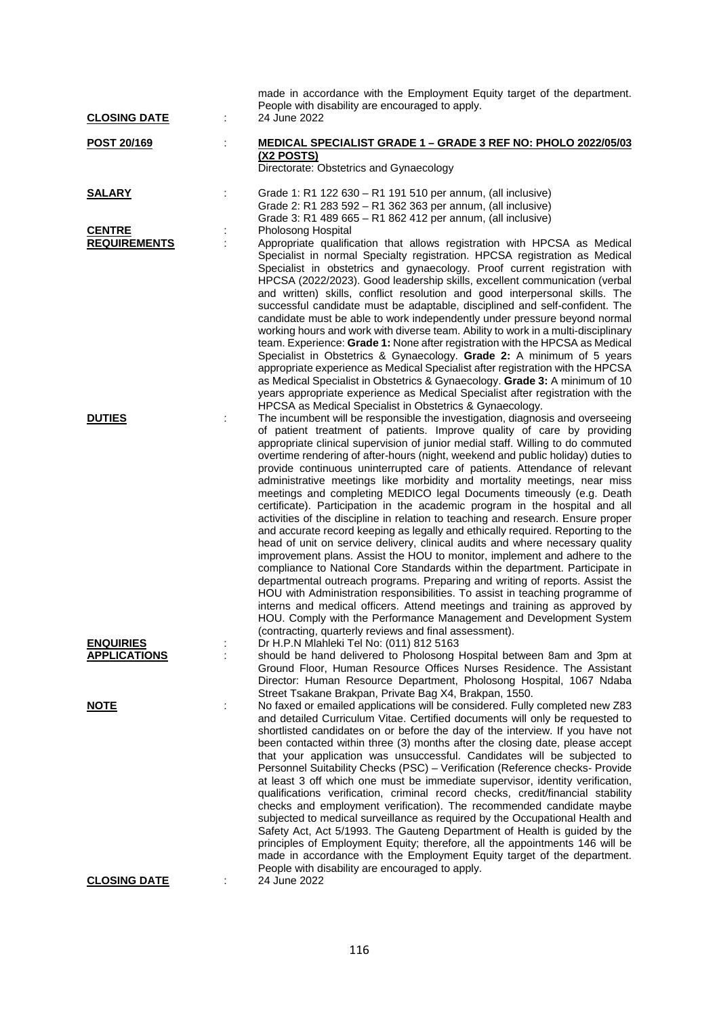| <b>CLOSING DATE</b>                     |   | made in accordance with the Employment Equity target of the department.<br>People with disability are encouraged to apply.<br>24 June 2022                                                                                                                                                                                                                                                                                                                                                                                                                                                                                                                                                                                                                                                                                                                                                                                                                                                                                                                                                                                                                                                                                                                                                                                                                                                                                                     |
|-----------------------------------------|---|------------------------------------------------------------------------------------------------------------------------------------------------------------------------------------------------------------------------------------------------------------------------------------------------------------------------------------------------------------------------------------------------------------------------------------------------------------------------------------------------------------------------------------------------------------------------------------------------------------------------------------------------------------------------------------------------------------------------------------------------------------------------------------------------------------------------------------------------------------------------------------------------------------------------------------------------------------------------------------------------------------------------------------------------------------------------------------------------------------------------------------------------------------------------------------------------------------------------------------------------------------------------------------------------------------------------------------------------------------------------------------------------------------------------------------------------|
| POST 20/169                             | ÷ | MEDICAL SPECIALIST GRADE 1 - GRADE 3 REF NO: PHOLO 2022/05/03<br>(X2 POSTS)<br>Directorate: Obstetrics and Gynaecology                                                                                                                                                                                                                                                                                                                                                                                                                                                                                                                                                                                                                                                                                                                                                                                                                                                                                                                                                                                                                                                                                                                                                                                                                                                                                                                         |
| <b>SALARY</b>                           |   | Grade 1: R1 122 630 - R1 191 510 per annum, (all inclusive)<br>Grade 2: R1 283 592 - R1 362 363 per annum, (all inclusive)<br>Grade 3: R1 489 665 - R1 862 412 per annum, (all inclusive)                                                                                                                                                                                                                                                                                                                                                                                                                                                                                                                                                                                                                                                                                                                                                                                                                                                                                                                                                                                                                                                                                                                                                                                                                                                      |
| <b>CENTRE</b><br><b>REQUIREMENTS</b>    |   | Pholosong Hospital<br>Appropriate qualification that allows registration with HPCSA as Medical<br>Specialist in normal Specialty registration. HPCSA registration as Medical<br>Specialist in obstetrics and gynaecology. Proof current registration with<br>HPCSA (2022/2023). Good leadership skills, excellent communication (verbal<br>and written) skills, conflict resolution and good interpersonal skills. The<br>successful candidate must be adaptable, disciplined and self-confident. The<br>candidate must be able to work independently under pressure beyond normal<br>working hours and work with diverse team. Ability to work in a multi-disciplinary<br>team. Experience: Grade 1: None after registration with the HPCSA as Medical<br>Specialist in Obstetrics & Gynaecology. Grade 2: A minimum of 5 years<br>appropriate experience as Medical Specialist after registration with the HPCSA<br>as Medical Specialist in Obstetrics & Gynaecology. Grade 3: A minimum of 10<br>years appropriate experience as Medical Specialist after registration with the<br>HPCSA as Medical Specialist in Obstetrics & Gynaecology.                                                                                                                                                                                                                                                                                                |
| <b>DUTIES</b>                           | t | The incumbent will be responsible the investigation, diagnosis and overseeing<br>of patient treatment of patients. Improve quality of care by providing<br>appropriate clinical supervision of junior medial staff. Willing to do commuted<br>overtime rendering of after-hours (night, weekend and public holiday) duties to<br>provide continuous uninterrupted care of patients. Attendance of relevant<br>administrative meetings like morbidity and mortality meetings, near miss<br>meetings and completing MEDICO legal Documents timeously (e.g. Death<br>certificate). Participation in the academic program in the hospital and all<br>activities of the discipline in relation to teaching and research. Ensure proper<br>and accurate record keeping as legally and ethically required. Reporting to the<br>head of unit on service delivery, clinical audits and where necessary quality<br>improvement plans. Assist the HOU to monitor, implement and adhere to the<br>compliance to National Core Standards within the department. Participate in<br>departmental outreach programs. Preparing and writing of reports. Assist the<br>HOU with Administration responsibilities. To assist in teaching programme of<br>interns and medical officers. Attend meetings and training as approved by<br>HOU. Comply with the Performance Management and Development System<br>(contracting, quarterly reviews and final assessment). |
| <b>ENQUIRIES</b><br><b>APPLICATIONS</b> |   | Dr H.P.N Mlahleki Tel No: (011) 812 5163<br>should be hand delivered to Pholosong Hospital between 8am and 3pm at<br>Ground Floor, Human Resource Offices Nurses Residence. The Assistant<br>Director: Human Resource Department, Pholosong Hospital, 1067 Ndaba<br>Street Tsakane Brakpan, Private Bag X4, Brakpan, 1550.                                                                                                                                                                                                                                                                                                                                                                                                                                                                                                                                                                                                                                                                                                                                                                                                                                                                                                                                                                                                                                                                                                                     |
| <u>NOTE</u>                             |   | No faxed or emailed applications will be considered. Fully completed new Z83<br>and detailed Curriculum Vitae. Certified documents will only be requested to<br>shortlisted candidates on or before the day of the interview. If you have not<br>been contacted within three (3) months after the closing date, please accept<br>that your application was unsuccessful. Candidates will be subjected to<br>Personnel Suitability Checks (PSC) - Verification (Reference checks- Provide<br>at least 3 off which one must be immediate supervisor, identity verification,<br>qualifications verification, criminal record checks, credit/financial stability<br>checks and employment verification). The recommended candidate maybe<br>subjected to medical surveillance as required by the Occupational Health and<br>Safety Act, Act 5/1993. The Gauteng Department of Health is guided by the<br>principles of Employment Equity; therefore, all the appointments 146 will be<br>made in accordance with the Employment Equity target of the department.<br>People with disability are encouraged to apply.                                                                                                                                                                                                                                                                                                                                |
| <b>CLOSING DATE</b>                     |   | 24 June 2022                                                                                                                                                                                                                                                                                                                                                                                                                                                                                                                                                                                                                                                                                                                                                                                                                                                                                                                                                                                                                                                                                                                                                                                                                                                                                                                                                                                                                                   |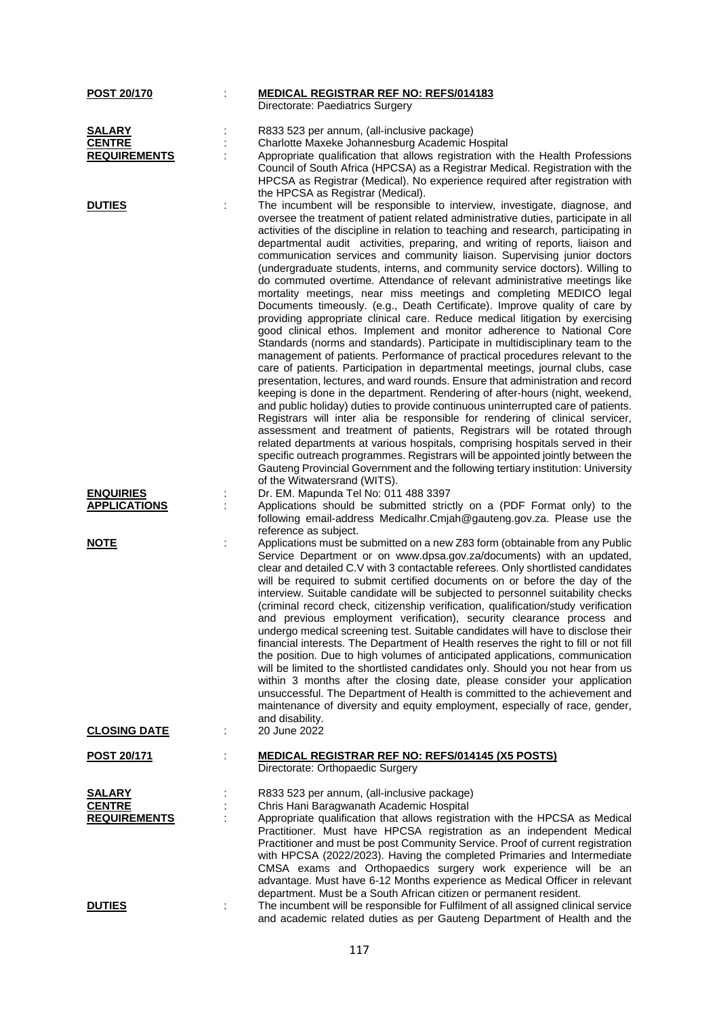| POST 20/170                    |    | <b>MEDICAL REGISTRAR REF NO: REFS/014183</b>                                                                                                                 |
|--------------------------------|----|--------------------------------------------------------------------------------------------------------------------------------------------------------------|
|                                |    | Directorate: Paediatrics Surgery                                                                                                                             |
|                                |    |                                                                                                                                                              |
| <b>SALARY</b><br><b>CENTRE</b> |    | R833 523 per annum, (all-inclusive package)<br>Charlotte Maxeke Johannesburg Academic Hospital                                                               |
| <b>REQUIREMENTS</b>            |    | Appropriate qualification that allows registration with the Health Professions                                                                               |
|                                |    | Council of South Africa (HPCSA) as a Registrar Medical. Registration with the                                                                                |
|                                |    | HPCSA as Registrar (Medical). No experience required after registration with                                                                                 |
|                                |    | the HPCSA as Registrar (Medical).                                                                                                                            |
| <b>DUTIES</b>                  | t  | The incumbent will be responsible to interview, investigate, diagnose, and                                                                                   |
|                                |    | oversee the treatment of patient related administrative duties, participate in all                                                                           |
|                                |    | activities of the discipline in relation to teaching and research, participating in                                                                          |
|                                |    | departmental audit activities, preparing, and writing of reports, liaison and                                                                                |
|                                |    | communication services and community liaison. Supervising junior doctors                                                                                     |
|                                |    | (undergraduate students, interns, and community service doctors). Willing to                                                                                 |
|                                |    | do commuted overtime. Attendance of relevant administrative meetings like                                                                                    |
|                                |    | mortality meetings, near miss meetings and completing MEDICO legal                                                                                           |
|                                |    | Documents timeously. (e.g., Death Certificate). Improve quality of care by                                                                                   |
|                                |    | providing appropriate clinical care. Reduce medical litigation by exercising                                                                                 |
|                                |    | good clinical ethos. Implement and monitor adherence to National Core                                                                                        |
|                                |    | Standards (norms and standards). Participate in multidisciplinary team to the                                                                                |
|                                |    | management of patients. Performance of practical procedures relevant to the<br>care of patients. Participation in departmental meetings, journal clubs, case |
|                                |    | presentation, lectures, and ward rounds. Ensure that administration and record                                                                               |
|                                |    | keeping is done in the department. Rendering of after-hours (night, weekend,                                                                                 |
|                                |    | and public holiday) duties to provide continuous uninterrupted care of patients.                                                                             |
|                                |    | Registrars will inter alia be responsible for rendering of clinical servicer,                                                                                |
|                                |    | assessment and treatment of patients, Registrars will be rotated through                                                                                     |
|                                |    | related departments at various hospitals, comprising hospitals served in their                                                                               |
|                                |    | specific outreach programmes. Registrars will be appointed jointly between the                                                                               |
|                                |    | Gauteng Provincial Government and the following tertiary institution: University                                                                             |
|                                |    | of the Witwatersrand (WITS).                                                                                                                                 |
| <b>ENQUIRIES</b>               | İ, | Dr. EM. Mapunda Tel No: 011 488 3397                                                                                                                         |
| <b>APPLICATIONS</b>            | ÷  | Applications should be submitted strictly on a (PDF Format only) to the                                                                                      |
|                                |    | following email-address Medicalhr.Cmjah@gauteng.gov.za. Please use the<br>reference as subject.                                                              |
| <u>NOTE</u>                    | ÷  | Applications must be submitted on a new Z83 form (obtainable from any Public                                                                                 |
|                                |    | Service Department or on www.dpsa.gov.za/documents) with an updated,                                                                                         |
|                                |    | clear and detailed C.V with 3 contactable referees. Only shortlisted candidates                                                                              |
|                                |    | will be required to submit certified documents on or before the day of the                                                                                   |
|                                |    | interview. Suitable candidate will be subjected to personnel suitability checks                                                                              |
|                                |    | (criminal record check, citizenship verification, qualification/study verification                                                                           |
|                                |    | and previous employment verification), security clearance process and                                                                                        |
|                                |    | undergo medical screening test. Suitable candidates will have to disclose their                                                                              |
|                                |    | financial interests. The Department of Health reserves the right to fill or not fill                                                                         |
|                                |    | the position. Due to high volumes of anticipated applications, communication                                                                                 |
|                                |    | will be limited to the shortlisted candidates only. Should you not hear from us                                                                              |
|                                |    | within 3 months after the closing date, please consider your application<br>unsuccessful. The Department of Health is committed to the achievement and       |
|                                |    | maintenance of diversity and equity employment, especially of race, gender,                                                                                  |
|                                |    | and disability.                                                                                                                                              |
| <b>CLOSING DATE</b>            |    | 20 June 2022                                                                                                                                                 |
|                                |    |                                                                                                                                                              |
| <b>POST 20/171</b>             | t  | <b>MEDICAL REGISTRAR REF NO: REFS/014145 (X5 POSTS)</b><br>Directorate: Orthopaedic Surgery                                                                  |
|                                |    |                                                                                                                                                              |
| <b>SALARY</b>                  |    | R833 523 per annum, (all-inclusive package)                                                                                                                  |
| <b>CENTRE</b>                  |    | Chris Hani Baragwanath Academic Hospital                                                                                                                     |
| <b>REQUIREMENTS</b>            |    | Appropriate qualification that allows registration with the HPCSA as Medical                                                                                 |
|                                |    | Practitioner. Must have HPCSA registration as an independent Medical                                                                                         |
|                                |    | Practitioner and must be post Community Service. Proof of current registration                                                                               |
|                                |    | with HPCSA (2022/2023). Having the completed Primaries and Intermediate                                                                                      |
|                                |    | CMSA exams and Orthopaedics surgery work experience will be an                                                                                               |
|                                |    | advantage. Must have 6-12 Months experience as Medical Officer in relevant                                                                                   |
|                                |    | department. Must be a South African citizen or permanent resident.                                                                                           |
| <b>DUTIES</b>                  |    | The incumbent will be responsible for Fulfilment of all assigned clinical service                                                                            |
|                                |    | and academic related duties as per Gauteng Department of Health and the                                                                                      |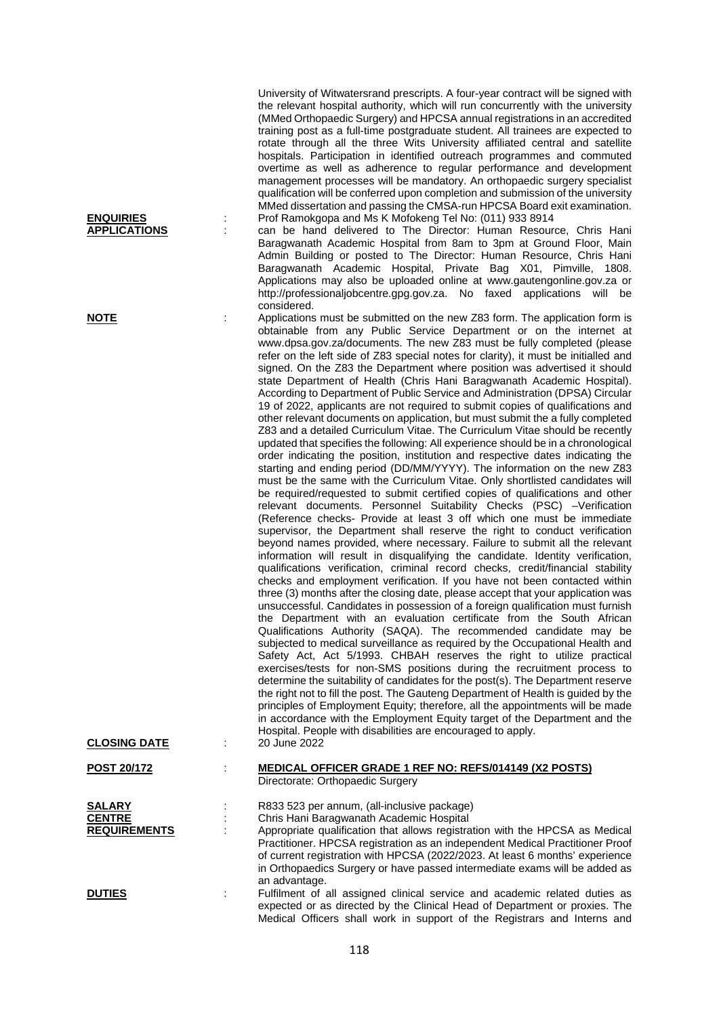University of Witwatersrand prescripts. A four-year contract will be signed with the relevant hospital authority, which will run concurrently with the university (MMed Orthopaedic Surgery) and HPCSA annual registrations in an accredited training post as a full-time postgraduate student. All trainees are expected to rotate through all the three Wits University affiliated central and satellite hospitals. Participation in identified outreach programmes and commuted overtime as well as adherence to regular performance and development management processes will be mandatory. An orthopaedic surgery specialist qualification will be conferred upon completion and submission of the university MMed dissertation and passing the CMSA-run HPCSA Board exit examination. **ENQUIRIES** : Prof Ramokgopa and Ms K Mofokeng Tel No: (011) 933 8914

can be hand delivered to The Director: Human Resource, Chris Hani Baragwanath Academic Hospital from 8am to 3pm at Ground Floor, Main Admin Building or posted to The Director: Human Resource, Chris Hani Baragwanath Academic Hospital, Private Bag X01, Pimville, 1808. Applications may also be uploaded online at www.gautengonline.gov.za or http://professionaljobcentre.gpg.gov.za. No faxed applications will be considered.

**NOTE** : Applications must be submitted on the new Z83 form. The application form is obtainable from any Public Service Department or on the internet at www.dpsa.gov.za/documents. The new Z83 must be fully completed (please refer on the left side of Z83 special notes for clarity), it must be initialled and signed. On the Z83 the Department where position was advertised it should state Department of Health (Chris Hani Baragwanath Academic Hospital). According to Department of Public Service and Administration (DPSA) Circular 19 of 2022, applicants are not required to submit copies of qualifications and other relevant documents on application, but must submit the a fully completed Z83 and a detailed Curriculum Vitae. The Curriculum Vitae should be recently updated that specifies the following: All experience should be in a chronological order indicating the position, institution and respective dates indicating the starting and ending period (DD/MM/YYYY). The information on the new Z83 must be the same with the Curriculum Vitae. Only shortlisted candidates will be required/requested to submit certified copies of qualifications and other relevant documents. Personnel Suitability Checks (PSC) –Verification (Reference checks- Provide at least 3 off which one must be immediate supervisor, the Department shall reserve the right to conduct verification beyond names provided, where necessary. Failure to submit all the relevant information will result in disqualifying the candidate. Identity verification, qualifications verification, criminal record checks, credit/financial stability checks and employment verification. If you have not been contacted within three (3) months after the closing date, please accept that your application was unsuccessful. Candidates in possession of a foreign qualification must furnish the Department with an evaluation certificate from the South African Qualifications Authority (SAQA). The recommended candidate may be subjected to medical surveillance as required by the Occupational Health and Safety Act. Act 5/1993. CHBAH reserves the right to utilize practical exercises/tests for non-SMS positions during the recruitment process to determine the suitability of candidates for the post(s). The Department reserve the right not to fill the post. The Gauteng Department of Health is guided by the principles of Employment Equity; therefore, all the appointments will be made in accordance with the Employment Equity target of the Department and the Hospital. People with disabilities are encouraged to apply.

| <b>CLOSING DATE</b>                                   | $1000$ and $1000$ and $1000$ and $1000$ and $1000$ and $1000$ and $1000$ and $1000$<br>20 June 2022                                                                                                                                                                                                                                                                                                                                     |
|-------------------------------------------------------|-----------------------------------------------------------------------------------------------------------------------------------------------------------------------------------------------------------------------------------------------------------------------------------------------------------------------------------------------------------------------------------------------------------------------------------------|
| <b>POST 20/172</b>                                    | <b>MEDICAL OFFICER GRADE 1 REF NO: REFS/014149 (X2 POSTS)</b><br>Directorate: Orthopaedic Surgery                                                                                                                                                                                                                                                                                                                                       |
| <b>SALARY</b><br><b>CENTRE</b><br><b>REQUIREMENTS</b> | R833 523 per annum, (all-inclusive package)<br>Chris Hani Baragwanath Academic Hospital<br>Appropriate qualification that allows registration with the HPCSA as Medical<br>Practitioner. HPCSA registration as an independent Medical Practitioner Proof<br>of current registration with HPCSA (2022/2023. At least 6 months' experience<br>in Orthopaedics Surgery or have passed intermediate exams will be added as<br>an advantage. |
| <b>DUTIES</b>                                         | Fulfilment of all assigned clinical service and academic related duties as<br>expected or as directed by the Clinical Head of Department or proxies. The<br>Medical Officers shall work in support of the Registrars and Interns and                                                                                                                                                                                                    |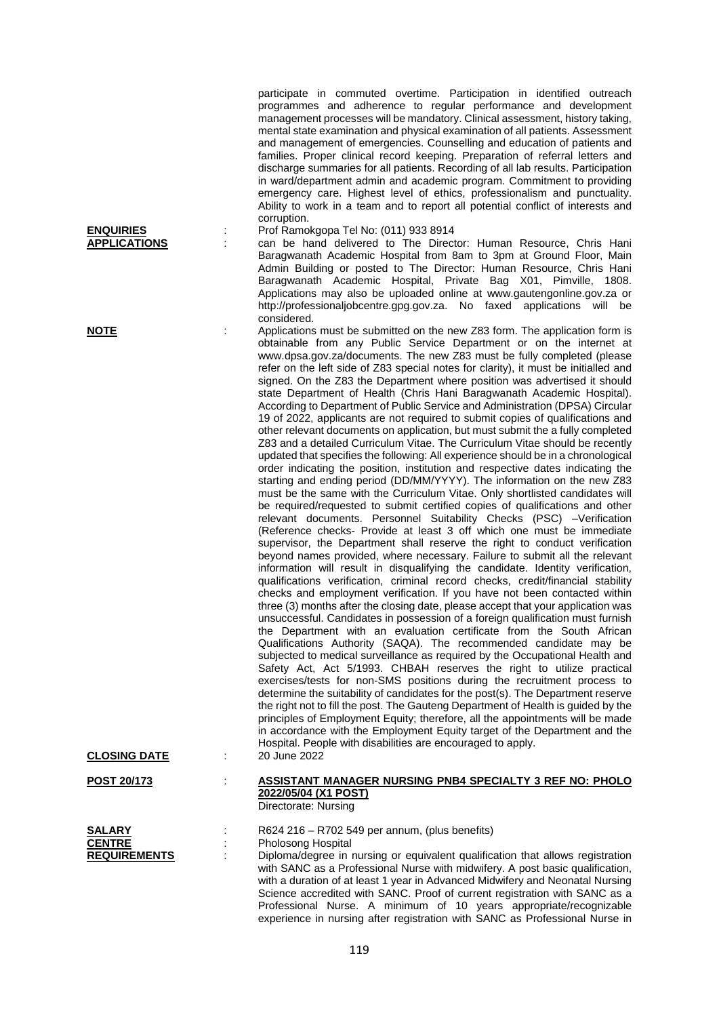participate in commuted overtime. Participation in identified outreach programmes and adherence to regular performance and development management processes will be mandatory. Clinical assessment, history taking, mental state examination and physical examination of all patients. Assessment and management of emergencies. Counselling and education of patients and families. Proper clinical record keeping. Preparation of referral letters and discharge summaries for all patients. Recording of all lab results. Participation in ward/department admin and academic program. Commitment to providing emergency care. Highest level of ethics, professionalism and punctuality. Ability to work in a team and to report all potential conflict of interests and corruption.

**ENQUIRIES** : Prof Ramokgopa Tel No: (011) 933 8914 can be hand delivered to The Director: Human Resource, Chris Hani Baragwanath Academic Hospital from 8am to 3pm at Ground Floor, Main Admin Building or posted to The Director: Human Resource, Chris Hani Baragwanath Academic Hospital, Private Bag X01, Pimville, 1808. Applications may also be uploaded online at www.gautengonline.gov.za or http://professionaljobcentre.gpg.gov.za. No faxed applications will be considered.

**NOTE** : Applications must be submitted on the new Z83 form. The application form is obtainable from any Public Service Department or on the internet at www.dpsa.gov.za/documents. The new Z83 must be fully completed (please refer on the left side of Z83 special notes for clarity), it must be initialled and signed. On the Z83 the Department where position was advertised it should state Department of Health (Chris Hani Baragwanath Academic Hospital). According to Department of Public Service and Administration (DPSA) Circular 19 of 2022, applicants are not required to submit copies of qualifications and other relevant documents on application, but must submit the a fully completed Z83 and a detailed Curriculum Vitae. The Curriculum Vitae should be recently updated that specifies the following: All experience should be in a chronological order indicating the position, institution and respective dates indicating the starting and ending period (DD/MM/YYYY). The information on the new Z83 must be the same with the Curriculum Vitae. Only shortlisted candidates will be required/requested to submit certified copies of qualifications and other relevant documents. Personnel Suitability Checks (PSC) –Verification (Reference checks- Provide at least 3 off which one must be immediate supervisor, the Department shall reserve the right to conduct verification beyond names provided, where necessary. Failure to submit all the relevant information will result in disqualifying the candidate. Identity verification, qualifications verification, criminal record checks, credit/financial stability checks and employment verification. If you have not been contacted within three (3) months after the closing date, please accept that your application was unsuccessful. Candidates in possession of a foreign qualification must furnish the Department with an evaluation certificate from the South African Qualifications Authority (SAQA). The recommended candidate may be subjected to medical surveillance as required by the Occupational Health and Safety Act, Act 5/1993. CHBAH reserves the right to utilize practical exercises/tests for non-SMS positions during the recruitment process to determine the suitability of candidates for the post(s). The Department reserve the right not to fill the post. The Gauteng Department of Health is guided by the principles of Employment Equity; therefore, all the appointments will be made in accordance with the Employment Equity target of the Department and the Hospital. People with disabilities are encouraged to apply. **CLOSING DATE** : 20 June 2022

| CLOSING DATE       |  |
|--------------------|--|
| <b>POST 20/173</b> |  |
|                    |  |
|                    |  |
| <b>SALARY</b>      |  |
| <b>CENTRE</b>      |  |

**POST 20/173** : **ASSISTANT MANAGER NURSING PNB4 SPECIALTY 3 REF NO: PHOLO 2022/05/04 (X1 POST)** Directorate: Nursing

**SALARY** : R624 216 – R702 549 per annum, (plus benefits) **CENTRE** : Pholosong Hospital<br> **REQUIREMENTS** : Diploma/degree in u **REQUIREM**: Diploma/degree in nursing or equivalent qualification that allows registration with SANC as a Professional Nurse with midwifery. A post basic qualification, with a duration of at least 1 year in Advanced Midwifery and Neonatal Nursing Science accredited with SANC. Proof of current registration with SANC as a Professional Nurse. A minimum of 10 years appropriate/recognizable experience in nursing after registration with SANC as Professional Nurse in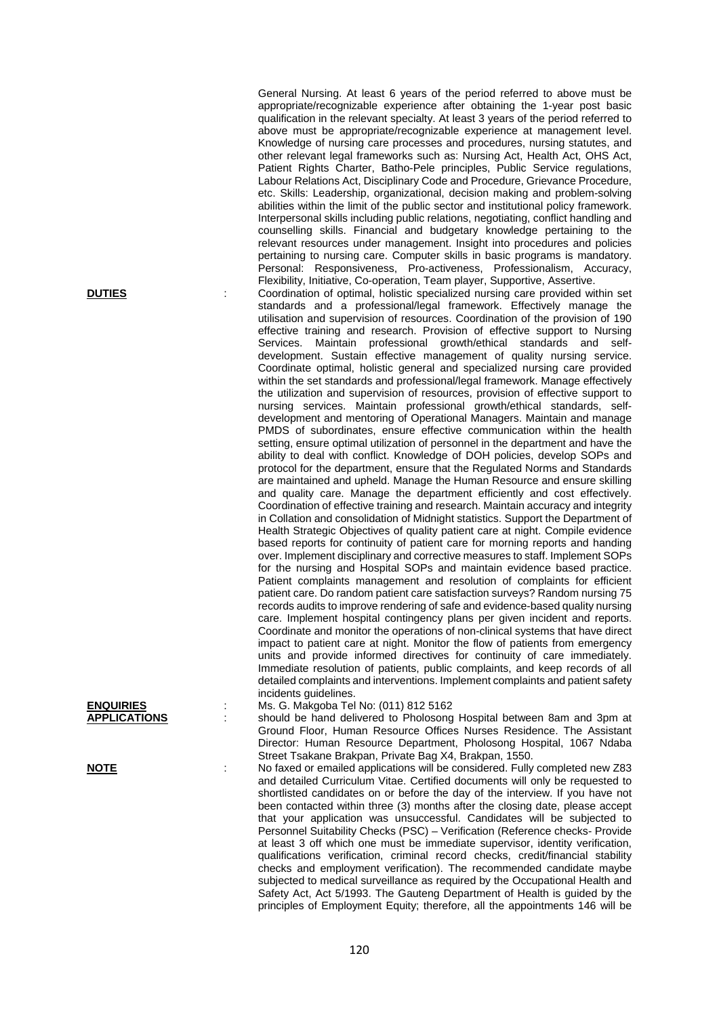General Nursing. At least 6 years of the period referred to above must be appropriate/recognizable experience after obtaining the 1-year post basic qualification in the relevant specialty. At least 3 years of the period referred to above must be appropriate/recognizable experience at management level. Knowledge of nursing care processes and procedures, nursing statutes, and other relevant legal frameworks such as: Nursing Act, Health Act, OHS Act, Patient Rights Charter, Batho-Pele principles, Public Service regulations, Labour Relations Act, Disciplinary Code and Procedure, Grievance Procedure, etc. Skills: Leadership, organizational, decision making and problem-solving abilities within the limit of the public sector and institutional policy framework. Interpersonal skills including public relations, negotiating, conflict handling and counselling skills. Financial and budgetary knowledge pertaining to the relevant resources under management. Insight into procedures and policies pertaining to nursing care. Computer skills in basic programs is mandatory. Personal: Responsiveness, Pro-activeness, Professionalism, Accuracy, Flexibility, Initiative, Co-operation, Team player, Supportive, Assertive.

**DUTIES** : Coordination of optimal, holistic specialized nursing care provided within set standards and a professional/legal framework. Effectively manage the utilisation and supervision of resources. Coordination of the provision of 190 effective training and research. Provision of effective support to Nursing Services. Maintain professional growth/ethical standards and selfdevelopment. Sustain effective management of quality nursing service. Coordinate optimal, holistic general and specialized nursing care provided within the set standards and professional/legal framework. Manage effectively the utilization and supervision of resources, provision of effective support to nursing services. Maintain professional growth/ethical standards, selfdevelopment and mentoring of Operational Managers. Maintain and manage PMDS of subordinates, ensure effective communication within the health setting, ensure optimal utilization of personnel in the department and have the ability to deal with conflict. Knowledge of DOH policies, develop SOPs and protocol for the department, ensure that the Regulated Norms and Standards are maintained and upheld. Manage the Human Resource and ensure skilling and quality care. Manage the department efficiently and cost effectively. Coordination of effective training and research. Maintain accuracy and integrity in Collation and consolidation of Midnight statistics. Support the Department of Health Strategic Objectives of quality patient care at night. Compile evidence based reports for continuity of patient care for morning reports and handing over. Implement disciplinary and corrective measures to staff. Implement SOPs for the nursing and Hospital SOPs and maintain evidence based practice. Patient complaints management and resolution of complaints for efficient patient care. Do random patient care satisfaction surveys? Random nursing 75 records audits to improve rendering of safe and evidence-based quality nursing care. Implement hospital contingency plans per given incident and reports. Coordinate and monitor the operations of non-clinical systems that have direct impact to patient care at night. Monitor the flow of patients from emergency units and provide informed directives for continuity of care immediately. Immediate resolution of patients, public complaints, and keep records of all detailed complaints and interventions. Implement complaints and patient safety incidents guidelines.

**ENQUIRIES** : Ms. G. Makgoba Tel No: (011) 812 5162

should be hand delivered to Pholosong Hospital between 8am and 3pm at Ground Floor, Human Resource Offices Nurses Residence. The Assistant Director: Human Resource Department, Pholosong Hospital, 1067 Ndaba Street Tsakane Brakpan, Private Bag X4, Brakpan, 1550.

**NOTE** : No faxed or emailed applications will be considered. Fully completed new Z83 and detailed Curriculum Vitae. Certified documents will only be requested to shortlisted candidates on or before the day of the interview. If you have not been contacted within three (3) months after the closing date, please accept that your application was unsuccessful. Candidates will be subjected to Personnel Suitability Checks (PSC) – Verification (Reference checks- Provide at least 3 off which one must be immediate supervisor, identity verification, qualifications verification, criminal record checks, credit/financial stability checks and employment verification). The recommended candidate maybe subjected to medical surveillance as required by the Occupational Health and Safety Act, Act 5/1993. The Gauteng Department of Health is guided by the principles of Employment Equity; therefore, all the appointments 146 will be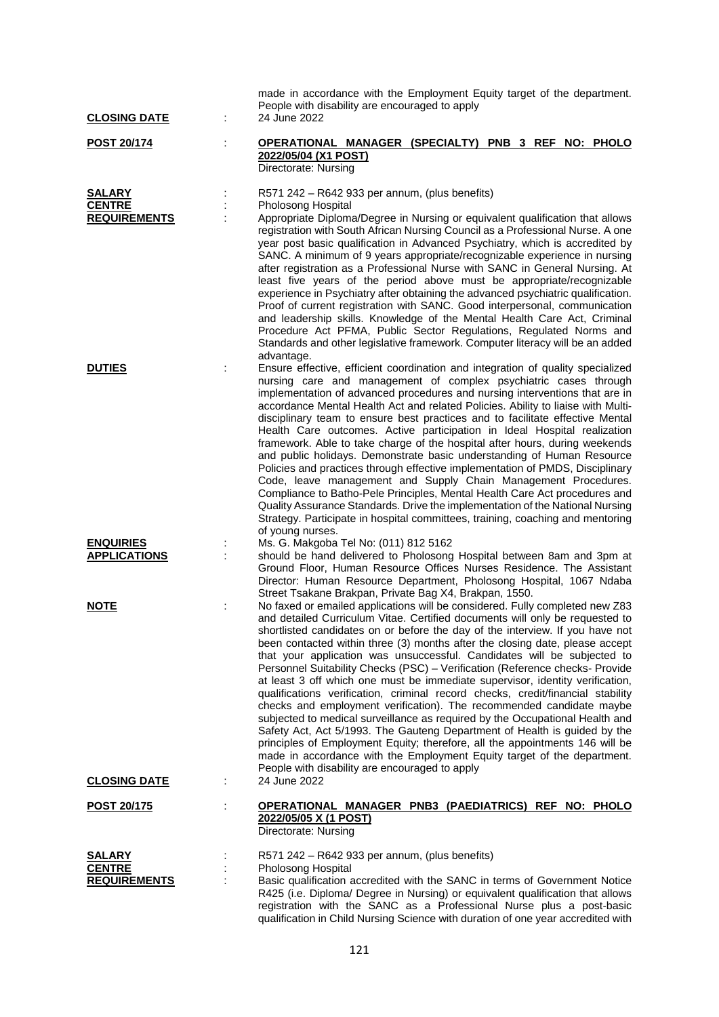| <b>CLOSING DATE</b>                            |   | made in accordance with the Employment Equity target of the department.<br>People with disability are encouraged to apply<br>24 June 2022                                                                                                                                                                                                                                                                                                                                                                                                                                                                                                                                                                                                                                                                                                                                                                                                                                                                                                                                                                      |
|------------------------------------------------|---|----------------------------------------------------------------------------------------------------------------------------------------------------------------------------------------------------------------------------------------------------------------------------------------------------------------------------------------------------------------------------------------------------------------------------------------------------------------------------------------------------------------------------------------------------------------------------------------------------------------------------------------------------------------------------------------------------------------------------------------------------------------------------------------------------------------------------------------------------------------------------------------------------------------------------------------------------------------------------------------------------------------------------------------------------------------------------------------------------------------|
| POST 20/174                                    |   | OPERATIONAL MANAGER (SPECIALTY) PNB 3 REF NO: PHOLO<br>2022/05/04 (X1 POST)<br>Directorate: Nursing                                                                                                                                                                                                                                                                                                                                                                                                                                                                                                                                                                                                                                                                                                                                                                                                                                                                                                                                                                                                            |
| SALARY<br><b>CENTRE</b><br><b>REQUIREMENTS</b> |   | R571 242 - R642 933 per annum, (plus benefits)<br>Pholosong Hospital<br>Appropriate Diploma/Degree in Nursing or equivalent qualification that allows<br>registration with South African Nursing Council as a Professional Nurse. A one<br>year post basic qualification in Advanced Psychiatry, which is accredited by<br>SANC. A minimum of 9 years appropriate/recognizable experience in nursing<br>after registration as a Professional Nurse with SANC in General Nursing. At<br>least five years of the period above must be appropriate/recognizable<br>experience in Psychiatry after obtaining the advanced psychiatric qualification.<br>Proof of current registration with SANC. Good interpersonal, communication<br>and leadership skills. Knowledge of the Mental Health Care Act, Criminal<br>Procedure Act PFMA, Public Sector Regulations, Regulated Norms and<br>Standards and other legislative framework. Computer literacy will be an added<br>advantage.                                                                                                                                |
| <b>DUTIES</b>                                  |   | Ensure effective, efficient coordination and integration of quality specialized<br>nursing care and management of complex psychiatric cases through<br>implementation of advanced procedures and nursing interventions that are in<br>accordance Mental Health Act and related Policies. Ability to liaise with Multi-<br>disciplinary team to ensure best practices and to facilitate effective Mental<br>Health Care outcomes. Active participation in Ideal Hospital realization<br>framework. Able to take charge of the hospital after hours, during weekends<br>and public holidays. Demonstrate basic understanding of Human Resource<br>Policies and practices through effective implementation of PMDS, Disciplinary<br>Code, leave management and Supply Chain Management Procedures.<br>Compliance to Batho-Pele Principles, Mental Health Care Act procedures and<br>Quality Assurance Standards. Drive the implementation of the National Nursing<br>Strategy. Participate in hospital committees, training, coaching and mentoring<br>of young nurses.                                           |
| <b>ENQUIRIES</b><br><b>APPLICATIONS</b>        |   | Ms. G. Makgoba Tel No: (011) 812 5162<br>should be hand delivered to Pholosong Hospital between 8am and 3pm at<br>Ground Floor, Human Resource Offices Nurses Residence. The Assistant<br>Director: Human Resource Department, Pholosong Hospital, 1067 Ndaba<br>Street Tsakane Brakpan, Private Bag X4, Brakpan, 1550.                                                                                                                                                                                                                                                                                                                                                                                                                                                                                                                                                                                                                                                                                                                                                                                        |
| NOTE                                           |   | No faxed or emailed applications will be considered. Fully completed new Z83<br>and detailed Curriculum Vitae. Certified documents will only be requested to<br>shortlisted candidates on or before the day of the interview. If you have not<br>been contacted within three (3) months after the closing date, please accept<br>that your application was unsuccessful. Candidates will be subjected to<br>Personnel Suitability Checks (PSC) - Verification (Reference checks- Provide<br>at least 3 off which one must be immediate supervisor, identity verification,<br>qualifications verification, criminal record checks, credit/financial stability<br>checks and employment verification). The recommended candidate maybe<br>subjected to medical surveillance as required by the Occupational Health and<br>Safety Act, Act 5/1993. The Gauteng Department of Health is guided by the<br>principles of Employment Equity; therefore, all the appointments 146 will be<br>made in accordance with the Employment Equity target of the department.<br>People with disability are encouraged to apply |
| <b>CLOSING DATE</b>                            | t | 24 June 2022                                                                                                                                                                                                                                                                                                                                                                                                                                                                                                                                                                                                                                                                                                                                                                                                                                                                                                                                                                                                                                                                                                   |
| <u>POST 20/175</u>                             | ÷ | OPERATIONAL MANAGER PNB3 (PAEDIATRICS) REF NO: PHOLO<br>2022/05/05 X (1 POST)<br>Directorate: Nursing                                                                                                                                                                                                                                                                                                                                                                                                                                                                                                                                                                                                                                                                                                                                                                                                                                                                                                                                                                                                          |
| SALARY<br><b>CENTRE</b><br><b>REQUIREMENTS</b> |   | R571 242 - R642 933 per annum, (plus benefits)<br>Pholosong Hospital<br>Basic qualification accredited with the SANC in terms of Government Notice<br>R425 (i.e. Diploma/ Degree in Nursing) or equivalent qualification that allows<br>registration with the SANC as a Professional Nurse plus a post-basic                                                                                                                                                                                                                                                                                                                                                                                                                                                                                                                                                                                                                                                                                                                                                                                                   |

qualification in Child Nursing Science with duration of one year accredited with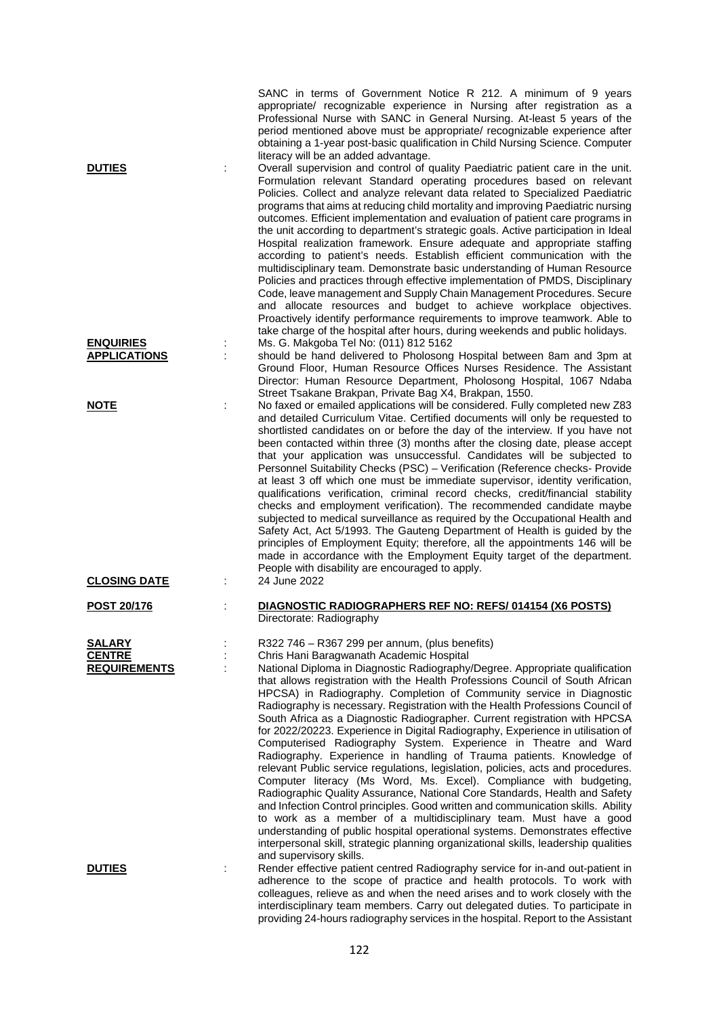|                                                       | SANC in terms of Government Notice R 212. A minimum of 9 years<br>appropriate/ recognizable experience in Nursing after registration as a<br>Professional Nurse with SANC in General Nursing. At-least 5 years of the<br>period mentioned above must be appropriate/ recognizable experience after<br>obtaining a 1-year post-basic qualification in Child Nursing Science. Computer<br>literacy will be an added advantage.                                                                                                                                                                                                                                                                                                                                                                                                                                                                                                                                                                                                                                                                                                                                                                                                                                                                                                        |
|-------------------------------------------------------|-------------------------------------------------------------------------------------------------------------------------------------------------------------------------------------------------------------------------------------------------------------------------------------------------------------------------------------------------------------------------------------------------------------------------------------------------------------------------------------------------------------------------------------------------------------------------------------------------------------------------------------------------------------------------------------------------------------------------------------------------------------------------------------------------------------------------------------------------------------------------------------------------------------------------------------------------------------------------------------------------------------------------------------------------------------------------------------------------------------------------------------------------------------------------------------------------------------------------------------------------------------------------------------------------------------------------------------|
| <b>DUTIES</b>                                         | Overall supervision and control of quality Paediatric patient care in the unit.<br>Formulation relevant Standard operating procedures based on relevant<br>Policies. Collect and analyze relevant data related to Specialized Paediatric<br>programs that aims at reducing child mortality and improving Paediatric nursing<br>outcomes. Efficient implementation and evaluation of patient care programs in<br>the unit according to department's strategic goals. Active participation in Ideal<br>Hospital realization framework. Ensure adequate and appropriate staffing<br>according to patient's needs. Establish efficient communication with the<br>multidisciplinary team. Demonstrate basic understanding of Human Resource<br>Policies and practices through effective implementation of PMDS, Disciplinary<br>Code, leave management and Supply Chain Management Procedures. Secure<br>and allocate resources and budget to achieve workplace objectives.<br>Proactively identify performance requirements to improve teamwork. Able to<br>take charge of the hospital after hours, during weekends and public holidays.                                                                                                                                                                                               |
| <b>ENQUIRIES</b><br><b>APPLICATIONS</b>               | Ms. G. Makgoba Tel No: (011) 812 5162<br>should be hand delivered to Pholosong Hospital between 8am and 3pm at<br>Ground Floor, Human Resource Offices Nurses Residence. The Assistant<br>Director: Human Resource Department, Pholosong Hospital, 1067 Ndaba                                                                                                                                                                                                                                                                                                                                                                                                                                                                                                                                                                                                                                                                                                                                                                                                                                                                                                                                                                                                                                                                       |
| <u>NOTE</u>                                           | Street Tsakane Brakpan, Private Bag X4, Brakpan, 1550.<br>No faxed or emailed applications will be considered. Fully completed new Z83<br>and detailed Curriculum Vitae. Certified documents will only be requested to<br>shortlisted candidates on or before the day of the interview. If you have not<br>been contacted within three (3) months after the closing date, please accept<br>that your application was unsuccessful. Candidates will be subjected to<br>Personnel Suitability Checks (PSC) - Verification (Reference checks- Provide<br>at least 3 off which one must be immediate supervisor, identity verification,<br>qualifications verification, criminal record checks, credit/financial stability<br>checks and employment verification). The recommended candidate maybe<br>subjected to medical surveillance as required by the Occupational Health and<br>Safety Act, Act 5/1993. The Gauteng Department of Health is guided by the<br>principles of Employment Equity; therefore, all the appointments 146 will be<br>made in accordance with the Employment Equity target of the department.<br>People with disability are encouraged to apply.                                                                                                                                                           |
| <b>CLOSING DATE</b>                                   | 24 June 2022                                                                                                                                                                                                                                                                                                                                                                                                                                                                                                                                                                                                                                                                                                                                                                                                                                                                                                                                                                                                                                                                                                                                                                                                                                                                                                                        |
| <b>POST 20/176</b>                                    | DIAGNOSTIC RADIOGRAPHERS REF NO: REFS/014154 (X6 POSTS)<br>Directorate: Radiography                                                                                                                                                                                                                                                                                                                                                                                                                                                                                                                                                                                                                                                                                                                                                                                                                                                                                                                                                                                                                                                                                                                                                                                                                                                 |
| <b>SALARY</b><br><b>CENTRE</b><br><b>REQUIREMENTS</b> | R322 746 - R367 299 per annum, (plus benefits)<br>Chris Hani Baragwanath Academic Hospital<br>National Diploma in Diagnostic Radiography/Degree. Appropriate qualification<br>that allows registration with the Health Professions Council of South African<br>HPCSA) in Radiography. Completion of Community service in Diagnostic<br>Radiography is necessary. Registration with the Health Professions Council of<br>South Africa as a Diagnostic Radiographer. Current registration with HPCSA<br>for 2022/20223. Experience in Digital Radiography, Experience in utilisation of<br>Computerised Radiography System. Experience in Theatre and Ward<br>Radiography. Experience in handling of Trauma patients. Knowledge of<br>relevant Public service regulations, legislation, policies, acts and procedures.<br>Computer literacy (Ms Word, Ms. Excel). Compliance with budgeting,<br>Radiographic Quality Assurance, National Core Standards, Health and Safety<br>and Infection Control principles. Good written and communication skills. Ability<br>to work as a member of a multidisciplinary team. Must have a good<br>understanding of public hospital operational systems. Demonstrates effective<br>interpersonal skill, strategic planning organizational skills, leadership qualities<br>and supervisory skills. |
| <b>DUTIES</b>                                         | Render effective patient centred Radiography service for in-and out-patient in<br>adherence to the scope of practice and health protocols. To work with<br>colleagues, relieve as and when the need arises and to work closely with the<br>interdisciplinary team members. Carry out delegated duties. To participate in                                                                                                                                                                                                                                                                                                                                                                                                                                                                                                                                                                                                                                                                                                                                                                                                                                                                                                                                                                                                            |

providing 24-hours radiography services in the hospital. Report to the Assistant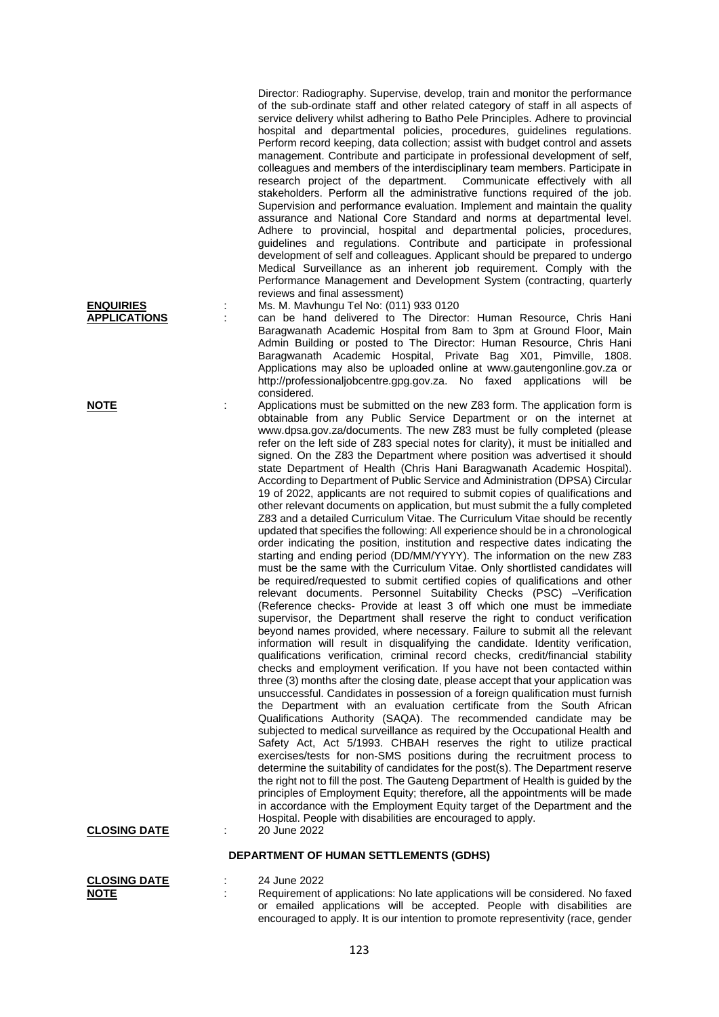Director: Radiography. Supervise, develop, train and monitor the performance of the sub-ordinate staff and other related category of staff in all aspects of service delivery whilst adhering to Batho Pele Principles. Adhere to provincial hospital and departmental policies, procedures, guidelines regulations. Perform record keeping, data collection; assist with budget control and assets management. Contribute and participate in professional development of self, colleagues and members of the interdisciplinary team members. Participate in research project of the department. Communicate effectively with all research project of the department. stakeholders. Perform all the administrative functions required of the job. Supervision and performance evaluation. Implement and maintain the quality assurance and National Core Standard and norms at departmental level. Adhere to provincial, hospital and departmental policies, procedures, guidelines and regulations. Contribute and participate in professional development of self and colleagues. Applicant should be prepared to undergo Medical Surveillance as an inherent job requirement. Comply with the Performance Management and Development System (contracting, quarterly reviews and final assessment)

**ENQUIRIES** : Ms. M. Mavhungu Tel No: (011) 933 0120

**APPLICATIONS** : can be hand delivered to The Director: Human Resource, Chris Hani Baragwanath Academic Hospital from 8am to 3pm at Ground Floor, Main Admin Building or posted to The Director: Human Resource, Chris Hani Baragwanath Academic Hospital, Private Bag X01, Pimville, 1808. Applications may also be uploaded online at www.gautengonline.gov.za or http://professionaljobcentre.gpg.gov.za. No faxed applications will be considered.

**NOTE** : Applications must be submitted on the new Z83 form. The application form is obtainable from any Public Service Department or on the internet at www.dpsa.gov.za/documents. The new Z83 must be fully completed (please refer on the left side of Z83 special notes for clarity), it must be initialled and signed. On the Z83 the Department where position was advertised it should state Department of Health (Chris Hani Baragwanath Academic Hospital). According to Department of Public Service and Administration (DPSA) Circular 19 of 2022, applicants are not required to submit copies of qualifications and other relevant documents on application, but must submit the a fully completed Z83 and a detailed Curriculum Vitae. The Curriculum Vitae should be recently updated that specifies the following: All experience should be in a chronological order indicating the position, institution and respective dates indicating the starting and ending period (DD/MM/YYYY). The information on the new Z83 must be the same with the Curriculum Vitae. Only shortlisted candidates will be required/requested to submit certified copies of qualifications and other relevant documents. Personnel Suitability Checks (PSC) –Verification (Reference checks- Provide at least 3 off which one must be immediate supervisor, the Department shall reserve the right to conduct verification beyond names provided, where necessary. Failure to submit all the relevant information will result in disqualifying the candidate. Identity verification, qualifications verification, criminal record checks, credit/financial stability checks and employment verification. If you have not been contacted within three (3) months after the closing date, please accept that your application was unsuccessful. Candidates in possession of a foreign qualification must furnish the Department with an evaluation certificate from the South African Qualifications Authority (SAQA). The recommended candidate may be subjected to medical surveillance as required by the Occupational Health and Safety Act, Act 5/1993. CHBAH reserves the right to utilize practical exercises/tests for non-SMS positions during the recruitment process to determine the suitability of candidates for the post(s). The Department reserve the right not to fill the post. The Gauteng Department of Health is guided by the principles of Employment Equity; therefore, all the appointments will be made in accordance with the Employment Equity target of the Department and the Hospital. People with disabilities are encouraged to apply. **CLOSING DATE** : 20 June 2022

## **DEPARTMENT OF HUMAN SETTLEMENTS (GDHS)**

| <b>CLOSING DATE</b> | 24 June 2022                                                                     |
|---------------------|----------------------------------------------------------------------------------|
| <b>NOTE</b>         | Requirement of applications: No late applications will be considered. No faxed   |
|                     | or emailed applications will be accepted. People with disabilities are           |
|                     | encouraged to apply. It is our intention to promote representivity (race, gender |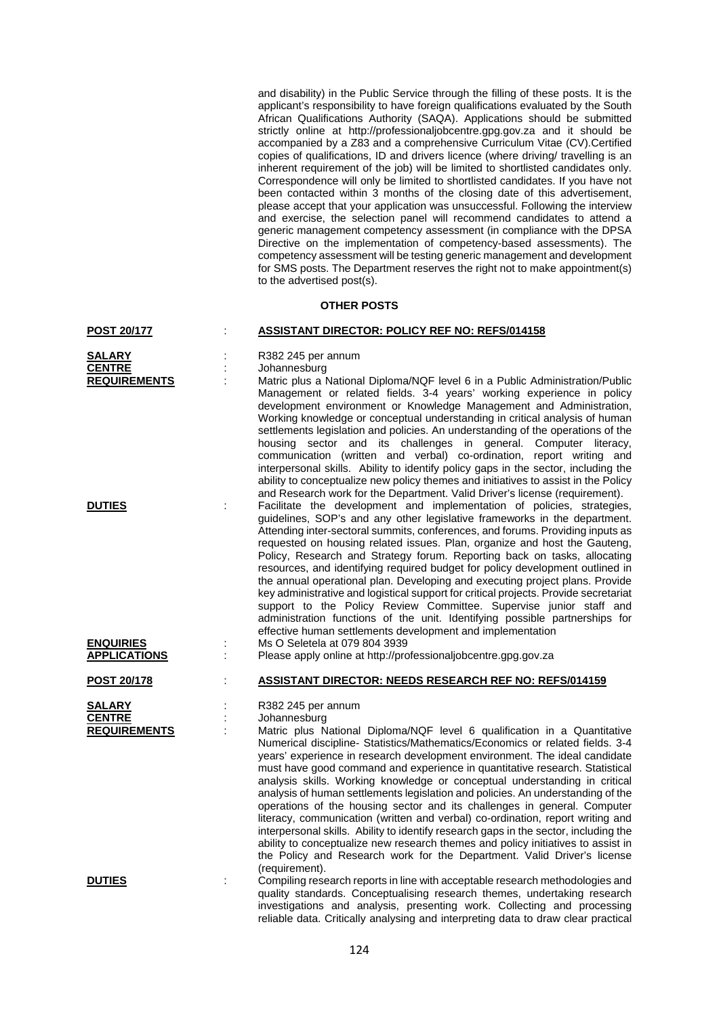and disability) in the Public Service through the filling of these posts. It is the applicant's responsibility to have foreign qualifications evaluated by the South African Qualifications Authority (SAQA). Applications should be submitted strictly online at http://professionaljobcentre.gpg.gov.za and it should be accompanied by a Z83 and a comprehensive Curriculum Vitae (CV).Certified copies of qualifications, ID and drivers licence (where driving/ travelling is an inherent requirement of the job) will be limited to shortlisted candidates only. Correspondence will only be limited to shortlisted candidates. If you have not been contacted within 3 months of the closing date of this advertisement, please accept that your application was unsuccessful. Following the interview and exercise, the selection panel will recommend candidates to attend a generic management competency assessment (in compliance with the DPSA Directive on the implementation of competency-based assessments). The competency assessment will be testing generic management and development for SMS posts. The Department reserves the right not to make appointment(s) to the advertised post(s).

## **OTHER POSTS**

| POST 20/177                                           |   | <b>ASSISTANT DIRECTOR: POLICY REF NO: REFS/014158</b>                                                                                                                                                                                                                                                                                                                                                                                                                                                                                                                                                                                                                                                                                                                                                                                                                                                                                                                |
|-------------------------------------------------------|---|----------------------------------------------------------------------------------------------------------------------------------------------------------------------------------------------------------------------------------------------------------------------------------------------------------------------------------------------------------------------------------------------------------------------------------------------------------------------------------------------------------------------------------------------------------------------------------------------------------------------------------------------------------------------------------------------------------------------------------------------------------------------------------------------------------------------------------------------------------------------------------------------------------------------------------------------------------------------|
| <b>SALARY</b><br><b>CENTRE</b><br><b>REQUIREMENTS</b> |   | R382 245 per annum<br>Johannesburg<br>Matric plus a National Diploma/NQF level 6 in a Public Administration/Public<br>Management or related fields. 3-4 years' working experience in policy<br>development environment or Knowledge Management and Administration,<br>Working knowledge or conceptual understanding in critical analysis of human<br>settlements legislation and policies. An understanding of the operations of the<br>housing sector and its challenges in general. Computer literacy,<br>communication (written and verbal) co-ordination, report writing and<br>interpersonal skills. Ability to identify policy gaps in the sector, including the<br>ability to conceptualize new policy themes and initiatives to assist in the Policy<br>and Research work for the Department. Valid Driver's license (requirement).                                                                                                                          |
| <b>DUTIES</b>                                         |   | Facilitate the development and implementation of policies, strategies,<br>guidelines, SOP's and any other legislative frameworks in the department.<br>Attending inter-sectoral summits, conferences, and forums. Providing inputs as<br>requested on housing related issues. Plan, organize and host the Gauteng,<br>Policy, Research and Strategy forum. Reporting back on tasks, allocating<br>resources, and identifying required budget for policy development outlined in<br>the annual operational plan. Developing and executing project plans. Provide<br>key administrative and logistical support for critical projects. Provide secretariat<br>support to the Policy Review Committee. Supervise junior staff and<br>administration functions of the unit. Identifying possible partnerships for<br>effective human settlements development and implementation                                                                                           |
| <b>ENQUIRIES</b><br><b>APPLICATIONS</b>               |   | Ms O Seletela at 079 804 3939<br>Please apply online at http://professionaljobcentre.gpg.gov.za                                                                                                                                                                                                                                                                                                                                                                                                                                                                                                                                                                                                                                                                                                                                                                                                                                                                      |
| POST 20/178                                           |   | <b>ASSISTANT DIRECTOR: NEEDS RESEARCH REF NO: REFS/014159</b>                                                                                                                                                                                                                                                                                                                                                                                                                                                                                                                                                                                                                                                                                                                                                                                                                                                                                                        |
| SALARY<br><b>CENTRE</b><br><b>REQUIREMENTS</b>        |   | R382 245 per annum<br>Johannesburg<br>Matric plus National Diploma/NQF level 6 qualification in a Quantitative<br>Numerical discipline- Statistics/Mathematics/Economics or related fields. 3-4<br>years' experience in research development environment. The ideal candidate<br>must have good command and experience in quantitative research. Statistical<br>analysis skills. Working knowledge or conceptual understanding in critical<br>analysis of human settlements legislation and policies. An understanding of the<br>operations of the housing sector and its challenges in general. Computer<br>literacy, communication (written and verbal) co-ordination, report writing and<br>interpersonal skills. Ability to identify research gaps in the sector, including the<br>ability to conceptualize new research themes and policy initiatives to assist in<br>the Policy and Research work for the Department. Valid Driver's license<br>(requirement). |
| <b>DUTIES</b>                                         | ÷ | Compiling research reports in line with acceptable research methodologies and<br>quality standards. Conceptualising research themes, undertaking research<br>investigations and analysis, presenting work. Collecting and processing<br>reliable data. Critically analysing and interpreting data to draw clear practical                                                                                                                                                                                                                                                                                                                                                                                                                                                                                                                                                                                                                                            |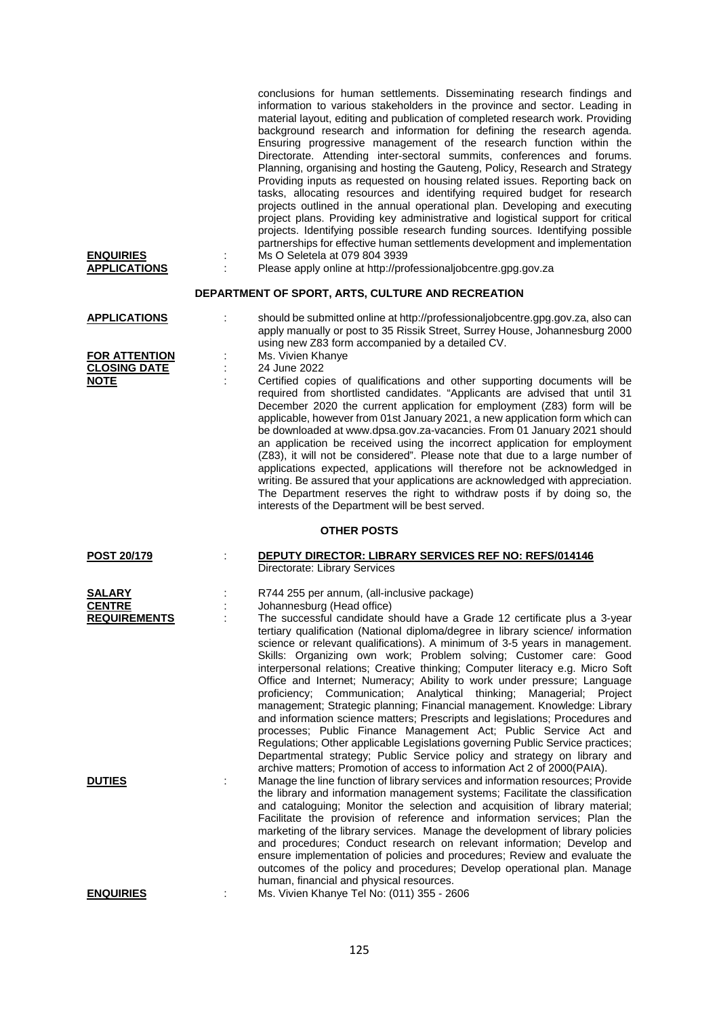| <b>ENQUIRIES</b><br><b>APPLICATIONS</b>                                 | conclusions for human settlements. Disseminating research findings and<br>information to various stakeholders in the province and sector. Leading in<br>material layout, editing and publication of completed research work. Providing<br>background research and information for defining the research agenda.<br>Ensuring progressive management of the research function within the<br>Directorate. Attending inter-sectoral summits, conferences and forums.<br>Planning, organising and hosting the Gauteng, Policy, Research and Strategy<br>Providing inputs as requested on housing related issues. Reporting back on<br>tasks, allocating resources and identifying required budget for research<br>projects outlined in the annual operational plan. Developing and executing<br>project plans. Providing key administrative and logistical support for critical<br>projects. Identifying possible research funding sources. Identifying possible<br>partnerships for effective human settlements development and implementation<br>Ms O Seletela at 079 804 3939<br>Please apply online at http://professionaljobcentre.gpg.gov.za |
|-------------------------------------------------------------------------|-----------------------------------------------------------------------------------------------------------------------------------------------------------------------------------------------------------------------------------------------------------------------------------------------------------------------------------------------------------------------------------------------------------------------------------------------------------------------------------------------------------------------------------------------------------------------------------------------------------------------------------------------------------------------------------------------------------------------------------------------------------------------------------------------------------------------------------------------------------------------------------------------------------------------------------------------------------------------------------------------------------------------------------------------------------------------------------------------------------------------------------------------|
|                                                                         | DEPARTMENT OF SPORT, ARTS, CULTURE AND RECREATION                                                                                                                                                                                                                                                                                                                                                                                                                                                                                                                                                                                                                                                                                                                                                                                                                                                                                                                                                                                                                                                                                             |
| <b>APPLICATIONS</b><br>t<br><b>FOR ATTENTION</b><br><b>CLOSING DATE</b> | should be submitted online at http://professionaljobcentre.gpg.gov.za, also can<br>apply manually or post to 35 Rissik Street, Surrey House, Johannesburg 2000<br>using new Z83 form accompanied by a detailed CV.<br>Ms. Vivien Khanye<br>24 June 2022                                                                                                                                                                                                                                                                                                                                                                                                                                                                                                                                                                                                                                                                                                                                                                                                                                                                                       |
| <b>NOTE</b>                                                             | Certified copies of qualifications and other supporting documents will be<br>required from shortlisted candidates. "Applicants are advised that until 31<br>December 2020 the current application for employment (Z83) form will be<br>applicable, however from 01st January 2021, a new application form which can<br>be downloaded at www.dpsa.gov.za-vacancies. From 01 January 2021 should<br>an application be received using the incorrect application for employment<br>(Z83), it will not be considered". Please note that due to a large number of<br>applications expected, applications will therefore not be acknowledged in<br>writing. Be assured that your applications are acknowledged with appreciation.<br>The Department reserves the right to withdraw posts if by doing so, the<br>interests of the Department will be best served.                                                                                                                                                                                                                                                                                     |
|                                                                         | <b>OTHER POSTS</b>                                                                                                                                                                                                                                                                                                                                                                                                                                                                                                                                                                                                                                                                                                                                                                                                                                                                                                                                                                                                                                                                                                                            |
| POST 20/179                                                             | <b>DEPUTY DIRECTOR: LIBRARY SERVICES REF NO: REFS/014146</b><br>Directorate: Library Services                                                                                                                                                                                                                                                                                                                                                                                                                                                                                                                                                                                                                                                                                                                                                                                                                                                                                                                                                                                                                                                 |
| SALARY<br><b>CENTRE</b><br><b>REQUIREMENTS</b>                          | R744 255 per annum, (all-inclusive package)<br>Johannesburg (Head office)<br>The successful candidate should have a Grade 12 certificate plus a 3-year<br>tertiary qualification (National diploma/degree in library science/ information<br>science or relevant qualifications). A minimum of 3-5 years in management.<br>Skills: Organizing own work; Problem solving; Customer care: Good<br>interpersonal relations; Creative thinking; Computer literacy e.g. Micro Soft<br>Office and Internet; Numeracy; Ability to work under pressure; Language<br>proficiency; Communication; Analytical thinking;<br>Managerial;<br>Project<br>management; Strategic planning; Financial management. Knowledge: Library<br>and information science matters; Prescripts and legislations; Procedures and<br>processes; Public Finance Management Act; Public Service Act and<br>Regulations; Other applicable Legislations governing Public Service practices;<br>Departmental strategy; Public Service policy and strategy on library and                                                                                                          |
| <b>DUTIES</b>                                                           | archive matters; Promotion of access to information Act 2 of 2000(PAIA).<br>Manage the line function of library services and information resources; Provide<br>the library and information management systems; Facilitate the classification<br>and cataloguing; Monitor the selection and acquisition of library material;<br>Facilitate the provision of reference and information services; Plan the<br>marketing of the library services. Manage the development of library policies<br>and procedures; Conduct research on relevant information; Develop and<br>ensure implementation of policies and procedures; Review and evaluate the<br>outcomes of the policy and procedures; Develop operational plan. Manage<br>human, financial and physical resources.                                                                                                                                                                                                                                                                                                                                                                         |

**ENQUIRIES** : Ms. Vivien Khanye Tel No: (011) 355 - 2606

125